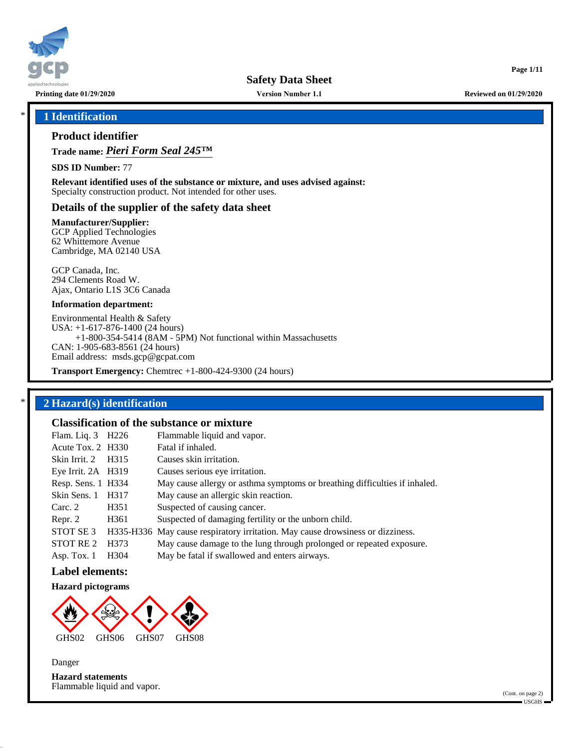

**Version Number 1.1**

**Printing date 01/29/2020 Reviewed on 01/29/2020**

**Page 1/11**

### \* **1 Identification**

## **Product identifier**

**Trade name:** *Pieri Form Seal 245™*

**SDS ID Number:** 77

**Relevant identified uses of the substance or mixture, and uses advised against:** Specialty construction product. Not intended for other uses.

### **Details of the supplier of the safety data sheet**

**Manufacturer/Supplier:**

GCP Applied Technologies 62 Whittemore Avenue Cambridge, MA 02140 USA

GCP Canada, Inc. 294 Clements Road W. Ajax, Ontario L1S 3C6 Canada

#### **Information department:**

Environmental Health & Safety USA: +1-617-876-1400 (24 hours) +1-800-354-5414 (8AM - 5PM) Not functional within Massachusetts CAN: 1-905-683-8561 (24 hours) Email address: msds.gcp@gcpat.com

**Transport Emergency:** Chemtrec +1-800-424-9300 (24 hours)

## \* **2 Hazard(s) identification**

## **Classification of the substance or mixture**

|                   | Flammable liquid and vapor.                                                                             |
|-------------------|---------------------------------------------------------------------------------------------------------|
|                   | Fatal if inhaled.                                                                                       |
|                   | Causes skin irritation.                                                                                 |
|                   | Causes serious eye irritation.                                                                          |
|                   | May cause allergy or asthma symptoms or breathing difficulties if inhaled.                              |
| H <sub>3</sub> 17 | May cause an allergic skin reaction.                                                                    |
| H <sub>351</sub>  | Suspected of causing cancer.                                                                            |
| H <sub>361</sub>  | Suspected of damaging fertility or the unborn child.                                                    |
|                   | H335-H336 May cause respiratory irritation. May cause drowsiness or dizziness.                          |
| H <sub>373</sub>  | May cause damage to the lung through prolonged or repeated exposure.                                    |
| H <sub>304</sub>  | May be fatal if swallowed and enters airways.                                                           |
|                   | Flam. Liq. 3 H226<br>Acute Tox. 2 H330<br>H <sub>3</sub> 15<br>Eye Irrit. 2A H319<br>Resp. Sens. 1 H334 |

## **Label elements:**

#### **Hazard pictograms**



Danger

**Hazard statements** Flammable liquid and vapor.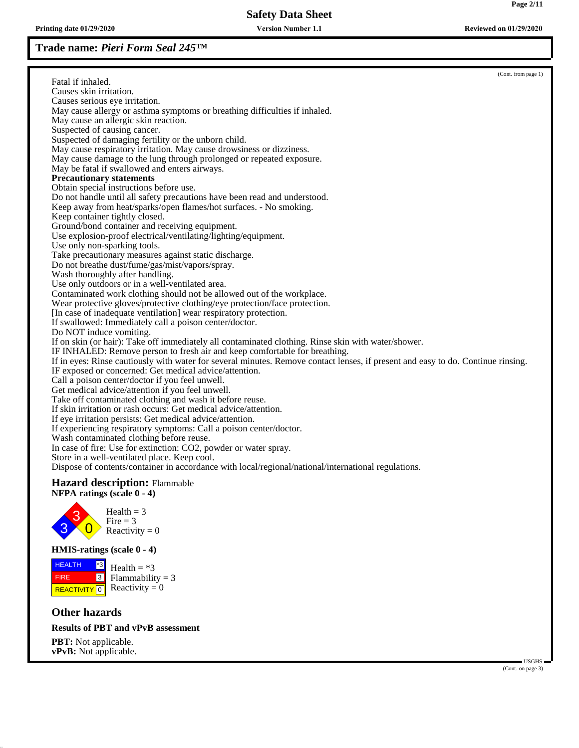**Printing date 01/29/2020 Reviewed on 01/29/2020 Version Number 1.1**

# **Trade name:** *Pieri Form Seal 245™*

|                                                |                                                                                                                                                      | (Cont. from page 1) |
|------------------------------------------------|------------------------------------------------------------------------------------------------------------------------------------------------------|---------------------|
| Fatal if inhaled.                              |                                                                                                                                                      |                     |
| Causes skin irritation.                        |                                                                                                                                                      |                     |
| Causes serious eye irritation.                 | May cause allergy or asthma symptoms or breathing difficulties if inhaled.                                                                           |                     |
| May cause an allergic skin reaction.           |                                                                                                                                                      |                     |
| Suspected of causing cancer.                   |                                                                                                                                                      |                     |
|                                                | Suspected of damaging fertility or the unborn child.                                                                                                 |                     |
|                                                | May cause respiratory irritation. May cause drowsiness or dizziness.                                                                                 |                     |
|                                                | May cause damage to the lung through prolonged or repeated exposure.                                                                                 |                     |
|                                                | May be fatal if swallowed and enters airways.                                                                                                        |                     |
| <b>Precautionary statements</b>                |                                                                                                                                                      |                     |
| Obtain special instructions before use.        |                                                                                                                                                      |                     |
|                                                | Do not handle until all safety precautions have been read and understood.                                                                            |                     |
|                                                | Keep away from heat/sparks/open flames/hot surfaces. - No smoking.                                                                                   |                     |
| Keep container tightly closed.                 |                                                                                                                                                      |                     |
|                                                | Ground/bond container and receiving equipment.                                                                                                       |                     |
|                                                | Use explosion-proof electrical/ventilating/lighting/equipment.                                                                                       |                     |
| Use only non-sparking tools.                   |                                                                                                                                                      |                     |
|                                                | Take precautionary measures against static discharge.                                                                                                |                     |
|                                                | Do not breathe dust/fume/gas/mist/vapors/spray.                                                                                                      |                     |
| Wash thoroughly after handling.                |                                                                                                                                                      |                     |
|                                                | Use only outdoors or in a well-ventilated area.                                                                                                      |                     |
|                                                | Contaminated work clothing should not be allowed out of the workplace.<br>Wear protective gloves/protective clothing/eye protection/face protection. |                     |
|                                                | [In case of inadequate ventilation] wear respiratory protection.                                                                                     |                     |
|                                                | If swallowed: Immediately call a poison center/doctor.                                                                                               |                     |
| Do NOT induce vomiting.                        |                                                                                                                                                      |                     |
|                                                | If on skin (or hair): Take off immediately all contaminated clothing. Rinse skin with water/shower.                                                  |                     |
|                                                | IF INHALED: Remove person to fresh air and keep comfortable for breathing.                                                                           |                     |
|                                                | If in eyes: Rinse cautiously with water for several minutes. Remove contact lenses, if present and easy to do. Continue rinsing.                     |                     |
|                                                | IF exposed or concerned: Get medical advice/attention.                                                                                               |                     |
|                                                | Call a poison center/doctor if you feel unwell.                                                                                                      |                     |
|                                                | Get medical advice/attention if you feel unwell.                                                                                                     |                     |
|                                                | Take off contaminated clothing and wash it before reuse.                                                                                             |                     |
|                                                | If skin irritation or rash occurs: Get medical advice/attention.                                                                                     |                     |
|                                                | If eye irritation persists: Get medical advice/attention.                                                                                            |                     |
|                                                | If experiencing respiratory symptoms: Call a poison center/doctor.                                                                                   |                     |
|                                                | Wash contaminated clothing before reuse.<br>In case of fire: Use for extinction: CO2, powder or water spray.                                         |                     |
|                                                | Store in a well-ventilated place. Keep cool.                                                                                                         |                     |
|                                                | Dispose of contents/container in accordance with local/regional/national/international regulations.                                                  |                     |
|                                                |                                                                                                                                                      |                     |
| <b>Hazard description:</b> Flammable           |                                                                                                                                                      |                     |
| NFPA ratings (scale 0 - 4)                     |                                                                                                                                                      |                     |
|                                                | $Health = 3$                                                                                                                                         |                     |
| Fire $=$ 3                                     |                                                                                                                                                      |                     |
|                                                | Reactivity = $0$                                                                                                                                     |                     |
|                                                |                                                                                                                                                      |                     |
| <b>HMIS-ratings (scale <math>0 - 4</math>)</b> |                                                                                                                                                      |                     |
| <b>HEALTH</b>                                  | Health $= *3$                                                                                                                                        |                     |
| <b>FIRE</b><br>$\vert 3 \vert$                 | Flammability = $3$                                                                                                                                   |                     |
| <b>REACTIVITY</b><br> 0                        | Reactivity = $0$                                                                                                                                     |                     |
|                                                |                                                                                                                                                      |                     |
| <b>Other hazards</b>                           |                                                                                                                                                      |                     |
|                                                |                                                                                                                                                      |                     |

## **Results of PBT and vPvB assessment**

**PBT:** Not applicable. **vPvB:** Not applicable.

 USGHS (Cont. on page 3)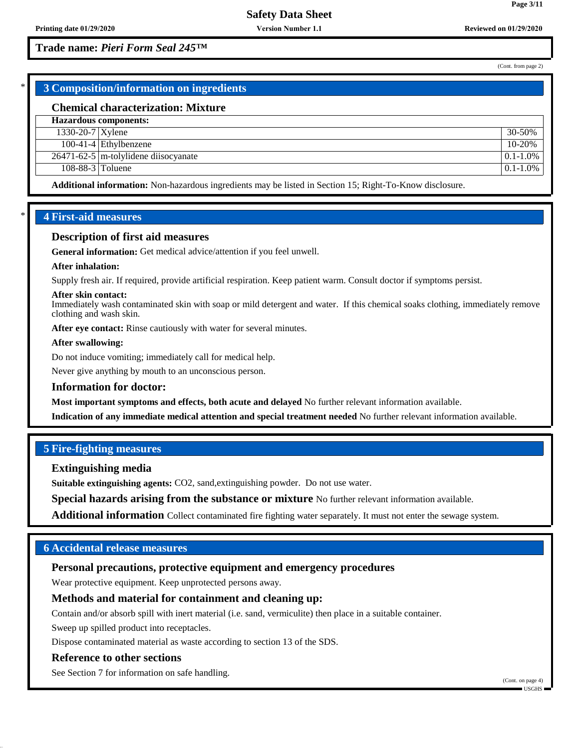## **Trade name:** *Pieri Form Seal 245™*

(Cont. from page 2)

**Page 3/11**

## \* **3 Composition/information on ingredients**

#### **Chemical characterization: Mixture**

| Hazardous components: |                                           |               |
|-----------------------|-------------------------------------------|---------------|
| $1330-20-7$ Xylene    |                                           | 30-50%        |
|                       | $100-41-4$ Ethylbenzene                   | 10-20%        |
|                       | $26471 - 62 - 5$ m-tolylidene disocyanate | $0.1 - 1.0\%$ |
| 108-88-3 $T$ oluene   |                                           | $0.1 - 1.0\%$ |
|                       |                                           |               |

**Additional information:** Non-hazardous ingredients may be listed in Section 15; Right-To-Know disclosure.

## \* **4 First-aid measures**

#### **Description of first aid measures**

**General information:** Get medical advice/attention if you feel unwell.

#### **After inhalation:**

Supply fresh air. If required, provide artificial respiration. Keep patient warm. Consult doctor if symptoms persist.

#### **After skin contact:**

Immediately wash contaminated skin with soap or mild detergent and water. If this chemical soaks clothing, immediately remove clothing and wash skin.

After eye contact: Rinse cautiously with water for several minutes.

### **After swallowing:**

Do not induce vomiting; immediately call for medical help.

Never give anything by mouth to an unconscious person.

#### **Information for doctor:**

**Most important symptoms and effects, both acute and delayed** No further relevant information available.

**Indication of any immediate medical attention and special treatment needed** No further relevant information available.

## **5 Fire-fighting measures**

#### **Extinguishing media**

**Suitable extinguishing agents:** CO2, sand,extinguishing powder. Do not use water.

**Special hazards arising from the substance or mixture** No further relevant information available.

**Additional information** Collect contaminated fire fighting water separately. It must not enter the sewage system.

## **6 Accidental release measures**

## **Personal precautions, protective equipment and emergency procedures**

Wear protective equipment. Keep unprotected persons away.

### **Methods and material for containment and cleaning up:**

Contain and/or absorb spill with inert material (i.e. sand, vermiculite) then place in a suitable container.

Sweep up spilled product into receptacles.

Dispose contaminated material as waste according to section 13 of the SDS.

#### **Reference to other sections**

See Section 7 for information on safe handling.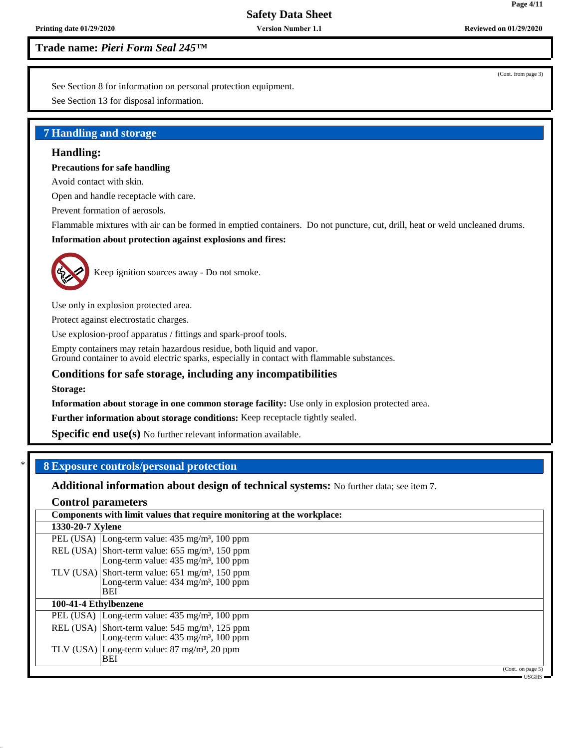**Version Number 1.1**

**Printing date 01/29/2020 Reviewed on 01/29/2020**

**Trade name:** *Pieri Form Seal 245™*

See Section 8 for information on personal protection equipment.

See Section 13 for disposal information.

## **7 Handling and storage**

## **Handling:**

## **Precautions for safe handling**

Avoid contact with skin.

Open and handle receptacle with care.

Prevent formation of aerosols.

Flammable mixtures with air can be formed in emptied containers. Do not puncture, cut, drill, heat or weld uncleaned drums. **Information about protection against explosions and fires:**



Keep ignition sources away - Do not smoke.

Use only in explosion protected area.

Protect against electrostatic charges.

Use explosion-proof apparatus / fittings and spark-proof tools.

Empty containers may retain hazardous residue, both liquid and vapor. Ground container to avoid electric sparks, especially in contact with flammable substances.

## **Conditions for safe storage, including any incompatibilities**

**Storage:**

**Information about storage in one common storage facility:** Use only in explosion protected area.

**Further information about storage conditions:** Keep receptacle tightly sealed.

**Specific end use(s)** No further relevant information available.

## \* **8 Exposure controls/personal protection**

**Additional information about design of technical systems:** No further data; see item 7.

## **Control parameters**

|                       | Components with limit values that require monitoring at the workplace:                                                       |
|-----------------------|------------------------------------------------------------------------------------------------------------------------------|
| 1330-20-7 Xylene      |                                                                                                                              |
|                       | PEL (USA) Long-term value: $435 \text{ mg/m}^3$ , 100 ppm                                                                    |
|                       | REL (USA) Short-term value: $655 \text{ mg/m}^3$ , 150 ppm<br>Long-term value: $435 \text{ mg/m}^3$ , 100 ppm                |
|                       | TLV (USA) Short-term value: $651 \text{ mg/m}^3$ , 150 ppm<br>Long-term value: 434 mg/m <sup>3</sup> , 100 ppm<br><b>BEI</b> |
| 100-41-4 Ethylbenzene |                                                                                                                              |
|                       | PEL (USA) Long-term value: $435 \text{ mg/m}^3$ , 100 ppm                                                                    |
|                       | REL (USA) Short-term value: $545 \text{ mg/m}^3$ , 125 ppm<br>Long-term value: 435 mg/m <sup>3</sup> , 100 ppm               |
|                       | TLV (USA) Long-term value: $87 \text{ mg/m}^3$ , $20 \text{ ppm}$<br><b>BEI</b>                                              |
|                       | (Cont. on page 5)                                                                                                            |

USGHS

(Cont. from page 3)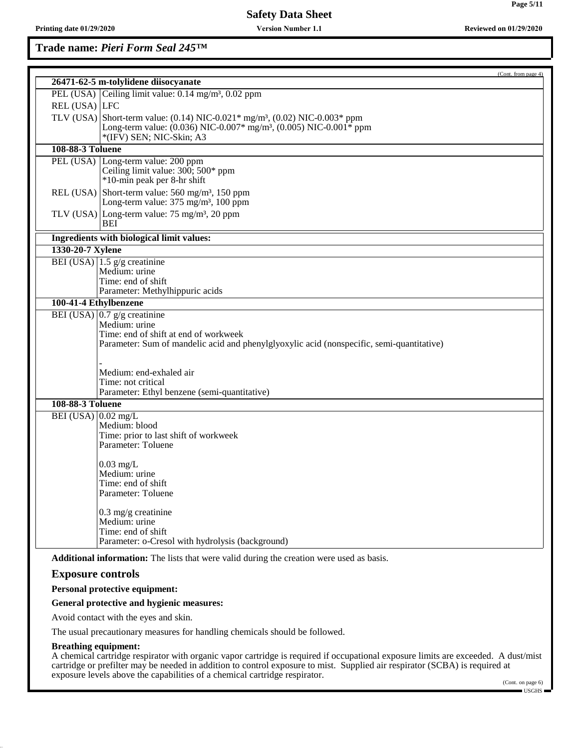**Printing date 01/29/2020 Reviewed on 01/29/2020 Version Number 1.1**

**Trade name:** *Pieri Form Seal 245™*

|                                         |                                                                                                                            | (Cont. from page 4) |
|-----------------------------------------|----------------------------------------------------------------------------------------------------------------------------|---------------------|
|                                         | 26471-62-5 m-tolylidene diisocyanate                                                                                       |                     |
|                                         | PEL (USA) Ceiling limit value: $0.14 \text{ mg/m}^3$ , $0.02 \text{ ppm}$                                                  |                     |
| REL (USA) LFC                           |                                                                                                                            |                     |
|                                         | TLV (USA) Short-term value: (0.14) NIC-0.021* mg/m <sup>3</sup> , (0.02) NIC-0.003* ppm                                    |                     |
|                                         | Long-term value: (0.036) NIC-0.007* mg/m <sup>3</sup> , (0.005) NIC-0.001* ppm                                             |                     |
|                                         | *(IFV) SEN; NIC-Skin; A3                                                                                                   |                     |
| <b>108-88-3 Toluene</b>                 |                                                                                                                            |                     |
|                                         | PEL (USA) Long-term value: 200 ppm                                                                                         |                     |
|                                         | Ceiling limit value: $300$ ; $500*$ ppm                                                                                    |                     |
|                                         | *10-min peak per 8-hr shift                                                                                                |                     |
|                                         | REL (USA) Short-term value: $560$ mg/m <sup>3</sup> , 150 ppm<br>Long-term value: $375 \text{ mg/m}^3$ , $100 \text{ ppm}$ |                     |
|                                         |                                                                                                                            |                     |
|                                         | TLV (USA) Long-term value: $75 \text{ mg/m}^3$ , 20 ppm<br>BEI                                                             |                     |
|                                         |                                                                                                                            |                     |
|                                         | Ingredients with biological limit values:                                                                                  |                     |
| 1330-20-7 Xylene                        |                                                                                                                            |                     |
|                                         | BEI (USA) $\left  1.5 \right $ g/g creatinine                                                                              |                     |
|                                         | Medium: urine<br>Time: end of shift                                                                                        |                     |
|                                         | Parameter: Methylhippuric acids                                                                                            |                     |
| $100-4\overline{1-4}$ Ethylbenzene      |                                                                                                                            |                     |
|                                         | BEI (USA) $\vert 0.7 \vert g/g$ creatinine                                                                                 |                     |
|                                         | Medium: urine                                                                                                              |                     |
|                                         | Time: end of shift at end of workweek                                                                                      |                     |
|                                         | Parameter: Sum of mandelic acid and phenylglyoxylic acid (nonspecific, semi-quantitative)                                  |                     |
|                                         |                                                                                                                            |                     |
|                                         | Medium: end-exhaled air                                                                                                    |                     |
|                                         | Time: not critical                                                                                                         |                     |
|                                         | Parameter: Ethyl benzene (semi-quantitative)                                                                               |                     |
| 108-88-3 Toluene                        |                                                                                                                            |                     |
| $\overline{\text{BEI}}$ (USA) 0.02 mg/L |                                                                                                                            |                     |
|                                         | Medium: blood                                                                                                              |                     |
|                                         | Time: prior to last shift of workweek                                                                                      |                     |
|                                         | Parameter: Toluene                                                                                                         |                     |
|                                         |                                                                                                                            |                     |
|                                         | $0.03$ mg/L<br>Medium: urine                                                                                               |                     |
|                                         | Time: end of shift                                                                                                         |                     |
|                                         | Parameter: Toluene                                                                                                         |                     |
|                                         |                                                                                                                            |                     |
|                                         | $0.3$ mg/g creatinine                                                                                                      |                     |
|                                         | Medium: urine<br>Time: end of shift                                                                                        |                     |
|                                         | Parameter: o-Cresol with hydrolysis (background)                                                                           |                     |
|                                         |                                                                                                                            |                     |
|                                         | <b>Additional information:</b> The lists that were valid during the creation were used as basis.                           |                     |
| <b>Exposure controls</b>                |                                                                                                                            |                     |
|                                         | Personal protective equipment:                                                                                             |                     |

## **General protective and hygienic measures:**

Avoid contact with the eyes and skin.

The usual precautionary measures for handling chemicals should be followed.

#### **Breathing equipment:**

A chemical cartridge respirator with organic vapor cartridge is required if occupational exposure limits are exceeded. A dust/mist cartridge or prefilter may be needed in addition to control exposure to mist. Supplied air respirator (SCBA) is required at exposure levels above the capabilities of a chemical cartridge respirator.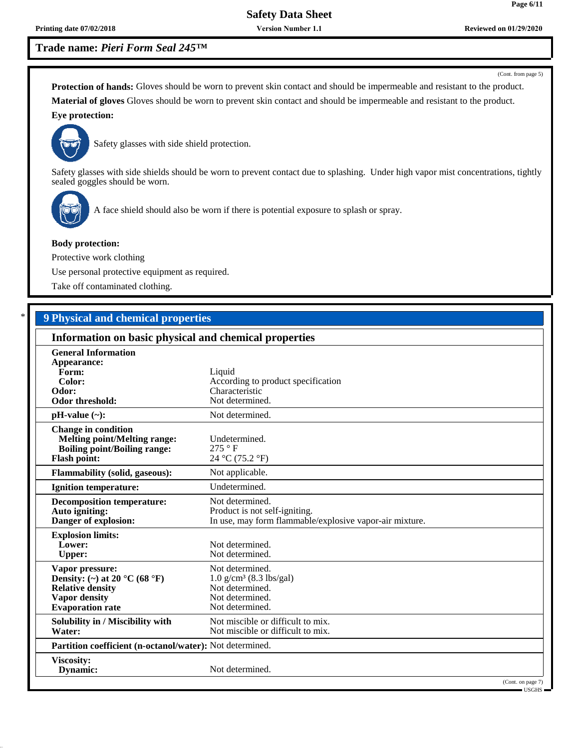**Printing date 07/02/2018 Reviewed on 01/29/2020 Reviewed on 01/29/2020 Reviewed on 01/29/2020 Version Number 1.1**

## **Trade name:** *Pieri Form Seal 245™*

(Cont. from page 5)

**Protection of hands:** Gloves should be worn to prevent skin contact and should be impermeable and resistant to the product. **Material of gloves** Gloves should be worn to prevent skin contact and should be impermeable and resistant to the product. **Eye protection:**



Safety glasses with side shield protection.

Safety glasses with side shields should be worn to prevent contact due to splashing. Under high vapor mist concentrations, tightly sealed goggles should be worn.



A face shield should also be worn if there is potential exposure to splash or spray.

#### **Body protection:**

Protective work clothing

Use personal protective equipment as required.

Take off contaminated clothing.

## \* **9 Physical and chemical properties**

| Information on basic physical and chemical properties                                                                                              |                                                                                                                |
|----------------------------------------------------------------------------------------------------------------------------------------------------|----------------------------------------------------------------------------------------------------------------|
| <b>General Information</b><br>Appearance:<br>Form:<br>Color:<br>Odor:<br>Odor threshold:                                                           | Liquid<br>According to product specification<br>Characteristic<br>Not determined.                              |
| $pH-value$ (~):                                                                                                                                    | Not determined.                                                                                                |
| <b>Change in condition</b><br><b>Melting point/Melting range:</b><br><b>Boiling point/Boiling range:</b><br><b>Flash point:</b>                    | Undetermined.<br>275 ° F<br>24 °C (75.2 °F)                                                                    |
| <b>Flammability (solid, gaseous):</b>                                                                                                              | Not applicable.                                                                                                |
| <b>Ignition temperature:</b>                                                                                                                       | Undetermined.                                                                                                  |
| <b>Decomposition temperature:</b><br>Auto igniting:<br>Danger of explosion:                                                                        | Not determined.<br>Product is not self-igniting.<br>In use, may form flammable/explosive vapor-air mixture.    |
| <b>Explosion limits:</b><br>Lower:<br><b>Upper:</b>                                                                                                | Not determined.<br>Not determined.                                                                             |
| Vapor pressure:<br>Density: (~) at 20 $^{\circ}$ C (68 $^{\circ}$ F)<br><b>Relative density</b><br><b>Vapor density</b><br><b>Evaporation</b> rate | Not determined.<br>$1.0 \text{ g/cm}^3$ (8.3 lbs/gal)<br>Not determined.<br>Not determined.<br>Not determined. |
| Solubility in / Miscibility with<br>Water:                                                                                                         | Not miscible or difficult to mix.<br>Not miscible or difficult to mix.                                         |
| Partition coefficient (n-octanol/water): Not determined.                                                                                           |                                                                                                                |
| Viscosity:<br>Dynamic:                                                                                                                             | Not determined.                                                                                                |
|                                                                                                                                                    | (Cont. on page 7)<br>= USGHS                                                                                   |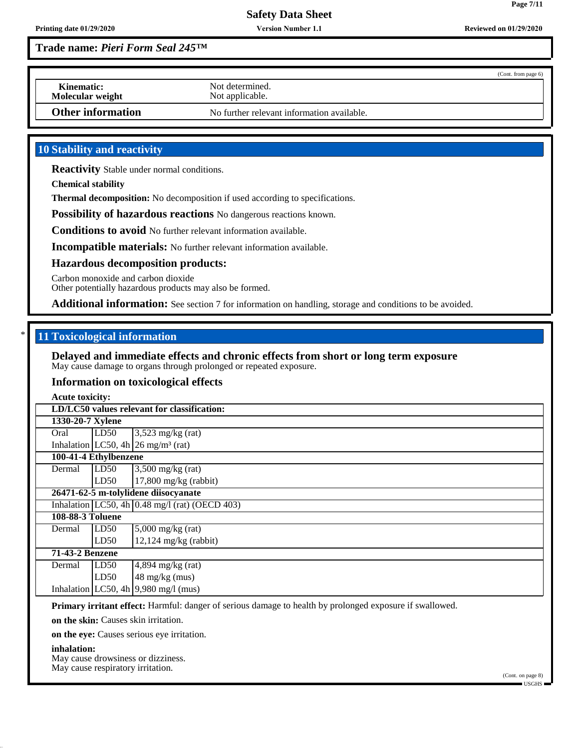**Version Number 1.1**

**Page 7/11**

## **Trade name:** *Pieri Form Seal 245™*

|                                |                                            | (Cont. from page 6) |
|--------------------------------|--------------------------------------------|---------------------|
| Kinematic:<br>Molecular weight | Not determined.<br>Not applicable.         |                     |
| Other information              | No further relevant information available. |                     |

## **10 Stability and reactivity**

**Reactivity** Stable under normal conditions.

**Chemical stability**

**Thermal decomposition:** No decomposition if used according to specifications.

**Possibility of hazardous reactions** No dangerous reactions known.

**Conditions to avoid** No further relevant information available.

**Incompatible materials:** No further relevant information available.

#### **Hazardous decomposition products:**

Carbon monoxide and carbon dioxide

Other potentially hazardous products may also be formed.

**Additional information:** See section 7 for information on handling, storage and conditions to be avoided.

### \* **11 Toxicological information**

#### **Delayed and immediate effects and chronic effects from short or long term exposure** May cause damage to organs through prolonged or repeated exposure.

#### **Information on toxicological effects**

|                       | <b>Acute toxicity:</b>                      |                                                                 |  |  |  |
|-----------------------|---------------------------------------------|-----------------------------------------------------------------|--|--|--|
|                       | LD/LC50 values relevant for classification: |                                                                 |  |  |  |
|                       | 1330-20-7 Xylene                            |                                                                 |  |  |  |
| Oral                  | LD50                                        | $3,523$ mg/kg (rat)                                             |  |  |  |
|                       |                                             | Inhalation LC50, 4h $\left  26 \right $ mg/m <sup>3</sup> (rat) |  |  |  |
| 100-41-4 Ethylbenzene |                                             |                                                                 |  |  |  |
| Dermal                | LD50                                        | $3,500$ mg/kg (rat)                                             |  |  |  |
|                       | $17,800$ mg/kg (rabbit)<br>LD50             |                                                                 |  |  |  |
|                       | 26471-62-5 m-tolylidene diisocyanate        |                                                                 |  |  |  |
|                       |                                             | Inhalation LC50, 4h $0.48$ mg/l (rat) (OECD 403)                |  |  |  |
|                       | <b>108-88-3 Toluene</b>                     |                                                                 |  |  |  |
| Dermal                | $5,000$ mg/kg (rat)<br>LD50                 |                                                                 |  |  |  |
|                       | LD50                                        | $12,124$ mg/kg (rabbit)                                         |  |  |  |
|                       | 71-43-2 Benzene                             |                                                                 |  |  |  |
| Dermal                | LD50                                        | $4,894$ mg/kg (rat)                                             |  |  |  |
|                       | LD50                                        | 48 mg/kg (mus)                                                  |  |  |  |
|                       |                                             | Inhalation LC50, 4h $ 9,980 \text{ mg}/1 \text{ (mus)}$         |  |  |  |

**Primary irritant effect:** Harmful: danger of serious damage to health by prolonged exposure if swallowed.

**on the skin:** Causes skin irritation.

**on the eye:** Causes serious eye irritation.

#### **inhalation:**

May cause drowsiness or dizziness. May cause respiratory irritation.

(Cont. on page 8) USGHS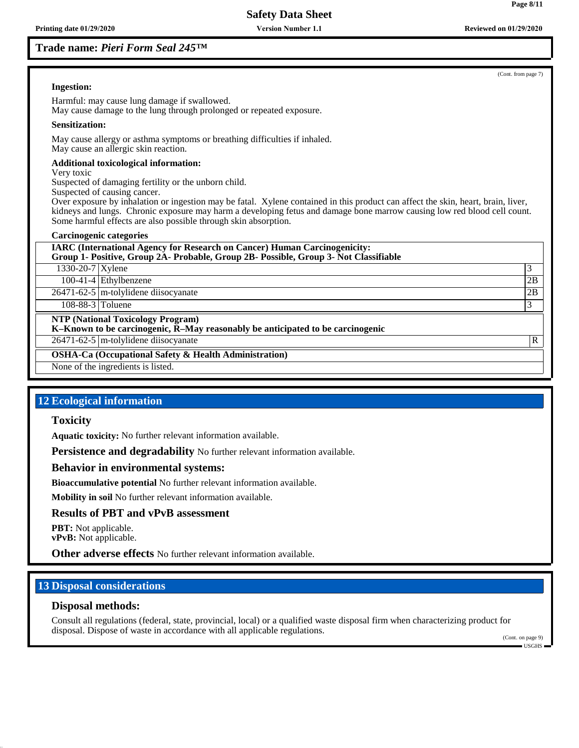**Version Number 1.1**

## **Trade name:** *Pieri Form Seal 245™*

## **Ingestion:**

Harmful: may cause lung damage if swallowed. May cause damage to the lung through prolonged or repeated exposure.

#### **Sensitization:**

May cause allergy or asthma symptoms or breathing difficulties if inhaled. May cause an allergic skin reaction.

#### **Additional toxicological information:**

Very toxic

Suspected of damaging fertility or the unborn child.

Suspected of causing cancer.

Over exposure by inhalation or ingestion may be fatal. Xylene contained in this product can affect the skin, heart, brain, liver, kidneys and lungs. Chronic exposure may harm a developing fetus and damage bone marrow causing low red blood cell count. Some harmful effects are also possible through skin absorption.

#### **Carcinogenic categories**

**IARC (International Agency for Research on Cancer) Human Carcinogenicity:**

**Group 1- Positive, Group 2A- Probable, Group 2B- Possible, Group 3- Not Classifiable**

 $1330-20-7$  Xylene 3

100-41-4 Ethylbenzene 2B

26471-62-5 m-tolylidene diisocyanate 2B

 $108-88-3$  Toluene  $\begin{bmatrix} 3 \end{bmatrix}$ 

**NTP (National Toxicology Program)**

**K–Known to be carcinogenic, R–May reasonably be anticipated to be carcinogenic**

26471-62-5 m-tolylidene diisocyanate R

**OSHA-Ca (Occupational Safety & Health Administration)**

None of the ingredients is listed.

## **12 Ecological information**

### **Toxicity**

**Aquatic toxicity:** No further relevant information available.

**Persistence and degradability** No further relevant information available.

### **Behavior in environmental systems:**

**Bioaccumulative potential** No further relevant information available.

**Mobility in soil** No further relevant information available.

## **Results of PBT and vPvB assessment**

**PBT:** Not applicable. **vPvB:** Not applicable.

**Other adverse effects** No further relevant information available.

## **13 Disposal considerations**

### **Disposal methods:**

Consult all regulations (federal, state, provincial, local) or a qualified waste disposal firm when characterizing product for disposal. Dispose of waste in accordance with all applicable regulations.

(Cont. on page 9) USGHS

(Cont. from page 7)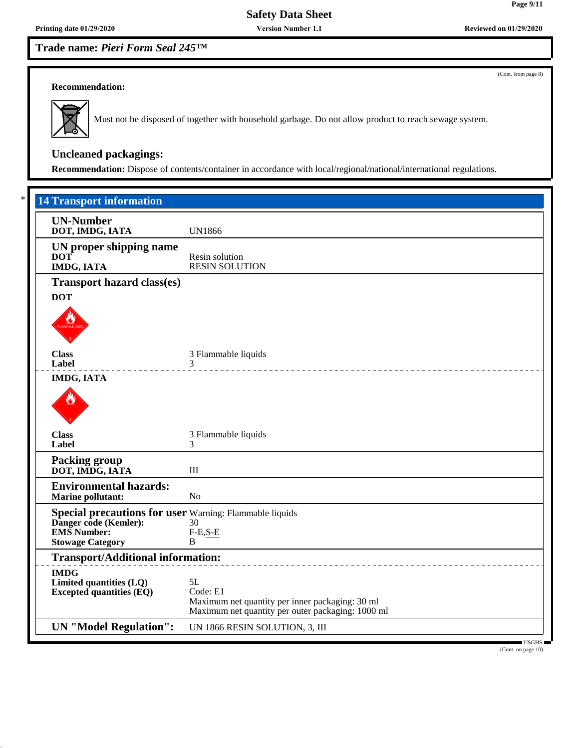**Version Number 1.1**

**Trade name:** *Pieri Form Seal 245™*

(Cont. from page 8)

### **Recommendation:**



Must not be disposed of together with household garbage. Do not allow product to reach sewage system.

# **Uncleaned packagings:**

**Recommendation:** Dispose of contents/container in accordance with local/regional/national/international regulations.

| <b>UN-Number</b><br>DOT, IMDG, IATA                                              | <b>UN1866</b>                                                                                                          |
|----------------------------------------------------------------------------------|------------------------------------------------------------------------------------------------------------------------|
| UN proper shipping name<br><b>DOT</b><br><b>IMDG, IATA</b>                       | Resin solution<br><b>RESIN SOLUTION</b>                                                                                |
| <b>Transport hazard class(es)</b>                                                |                                                                                                                        |
| <b>DOT</b>                                                                       |                                                                                                                        |
| <b>Class</b><br>Label                                                            | 3 Flammable liquids<br>3<br>______________________________________                                                     |
| <b>IMDG, IATA</b>                                                                |                                                                                                                        |
| <b>Class</b><br>Label                                                            | 3 Flammable liquids<br>3                                                                                               |
| <b>Packing group</b><br>DOT, IMDG, IATA                                          | $\rm III$                                                                                                              |
| <b>Environmental hazards:</b><br><b>Marine pollutant:</b>                        | N <sub>o</sub>                                                                                                         |
| Special precautions for user Warning: Flammable liquids<br>Danger code (Kemler): | 30                                                                                                                     |
| <b>EMS</b> Number:<br><b>Stowage Category</b>                                    | $F-E,S-E$<br>B                                                                                                         |
| <b>Transport/Additional information:</b>                                         |                                                                                                                        |
| <b>IMDG</b><br>Limited quantities (LQ)<br><b>Excepted quantities (EQ)</b>        | 5L<br>Code: E1<br>Maximum net quantity per inner packaging: 30 ml<br>Maximum net quantity per outer packaging: 1000 ml |

(Cont. on page 10)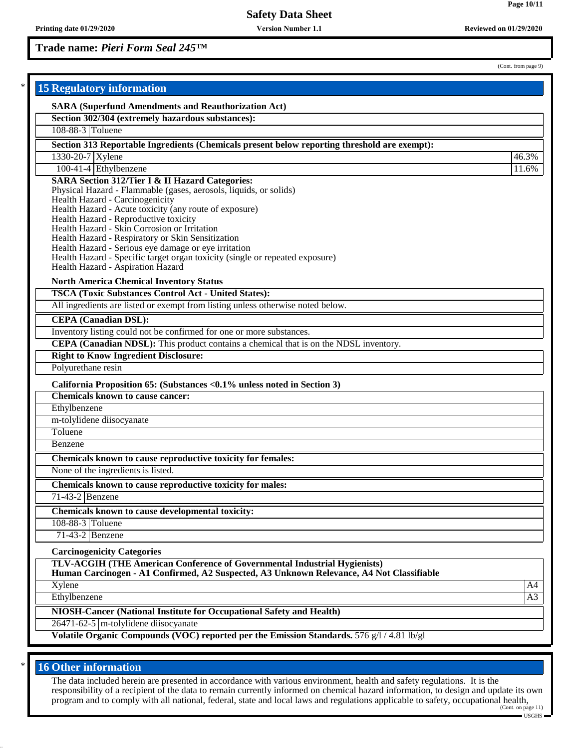**Version Number 1.1**

**Trade name:** *Pieri Form Seal 245™*

(Cont. from page 9)

| <b>15 Regulatory information</b>                                                                          |       |
|-----------------------------------------------------------------------------------------------------------|-------|
| <b>SARA (Superfund Amendments and Reauthorization Act)</b>                                                |       |
| Section 302/304 (extremely hazardous substances):                                                         |       |
| 108-88-3 Toluene                                                                                          |       |
| Section 313 Reportable Ingredients (Chemicals present below reporting threshold are exempt):              |       |
| 1330-20-7 Xylene                                                                                          | 46.3% |
| 100-41-4 Ethylbenzene                                                                                     | 11.6% |
| <b>SARA Section 312/Tier I &amp; II Hazard Categories:</b>                                                |       |
| Physical Hazard - Flammable (gases, aerosols, liquids, or solids)<br>Health Hazard - Carcinogenicity      |       |
| Health Hazard - Acute toxicity (any route of exposure)                                                    |       |
| Health Hazard - Reproductive toxicity                                                                     |       |
| Health Hazard - Skin Corrosion or Irritation                                                              |       |
| Health Hazard - Respiratory or Skin Sensitization<br>Health Hazard - Serious eye damage or eye irritation |       |
| Health Hazard - Specific target organ toxicity (single or repeated exposure)                              |       |
| Health Hazard - Aspiration Hazard                                                                         |       |
| <b>North America Chemical Inventory Status</b>                                                            |       |
| <b>TSCA (Toxic Substances Control Act - United States):</b>                                               |       |
| All ingredients are listed or exempt from listing unless otherwise noted below.                           |       |
| <b>CEPA</b> (Canadian DSL):                                                                               |       |
| Inventory listing could not be confirmed for one or more substances.                                      |       |
| CEPA (Canadian NDSL): This product contains a chemical that is on the NDSL inventory.                     |       |
| <b>Right to Know Ingredient Disclosure:</b>                                                               |       |
| Polyurethane resin                                                                                        |       |
| California Proposition 65: (Substances <0.1% unless noted in Section 3)                                   |       |
| <b>Chemicals known to cause cancer:</b>                                                                   |       |
| Ethylbenzene                                                                                              |       |
| m-tolylidene diisocyanate                                                                                 |       |
| Toluene                                                                                                   |       |
| Benzene                                                                                                   |       |
| Chemicals known to cause reproductive toxicity for females:                                               |       |
| None of the ingredients is listed.                                                                        |       |
| Chemicals known to cause reproductive toxicity for males:                                                 |       |
| $71-43-2$ Benzene                                                                                         |       |
| Chemicals known to cause developmental toxicity:                                                          |       |
| 108-88-3 Toluene                                                                                          |       |
| $71-43-2$ Benzene                                                                                         |       |
| <b>Carcinogenicity Categories</b>                                                                         |       |
| TLV-ACGIH (THE American Conference of Governmental Industrial Hygienists)                                 |       |
| Human Carcinogen - A1 Confirmed, A2 Suspected, A3 Unknown Relevance, A4 Not Classifiable                  |       |
| Xylene                                                                                                    | A4    |
| Ethylbenzene                                                                                              | A3    |
| NIOSH-Cancer (National Institute for Occupational Safety and Health)                                      |       |
| $26471 - 62 - 5$ m-tolylidene diisocyanate                                                                |       |

## **16 Other information**

The data included herein are presented in accordance with various environment, health and safety regulations. It is the responsibility of a recipient of the data to remain currently informed on chemical hazard information, to design and update its own program and to comply with all national, federal, state and local laws and regulations applicable to safety, occupational health,<br><sup>(Cont. on page 11)</sup>